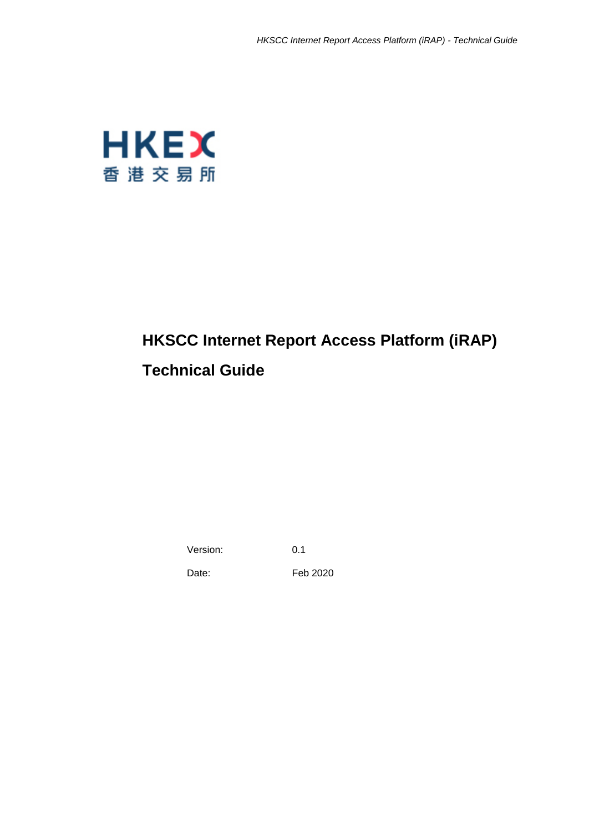

# **HKSCC Internet Report Access Platform (iRAP) Technical Guide**

Version: 0.1

Date: Feb 2020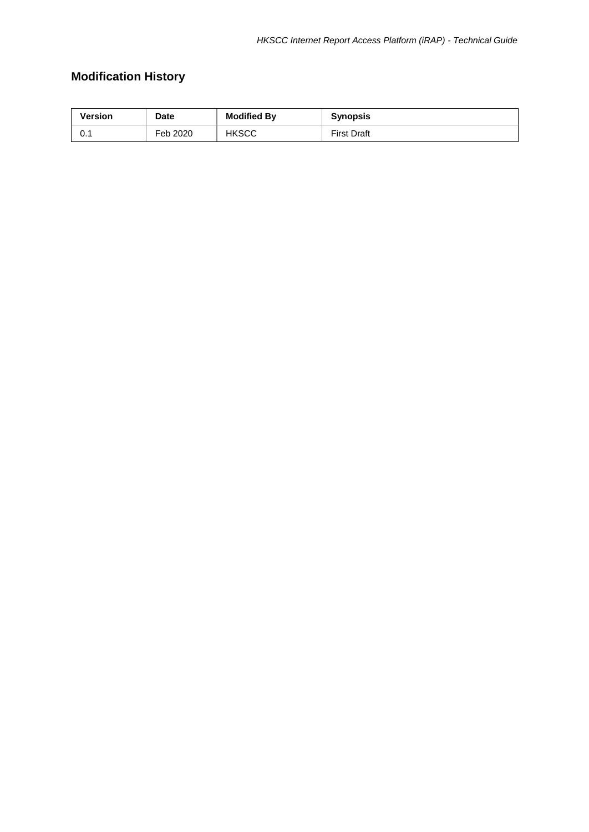## **Modification History**

| Version | <b>Date</b> | <b>Modified By</b> | <b>Synopsis</b>    |
|---------|-------------|--------------------|--------------------|
| . v. .  | Feb 2020    | <b>HKSCC</b>       | <b>First Draft</b> |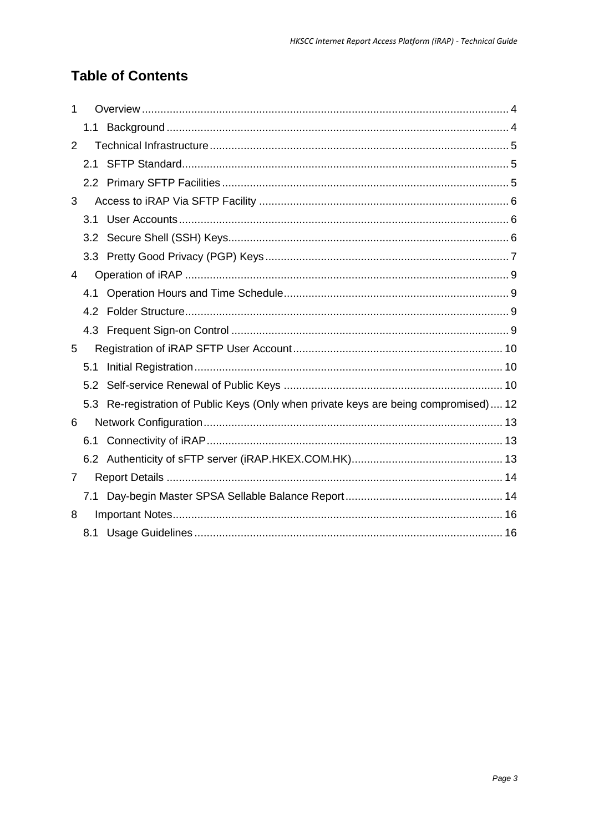## **Table of Contents**

| 1              |     |                                                                                      |
|----------------|-----|--------------------------------------------------------------------------------------|
|                | 1.1 |                                                                                      |
| 2              |     |                                                                                      |
|                |     |                                                                                      |
|                |     |                                                                                      |
| 3              |     |                                                                                      |
|                |     |                                                                                      |
|                |     |                                                                                      |
|                |     |                                                                                      |
| 4              |     |                                                                                      |
|                | 4.1 |                                                                                      |
|                |     |                                                                                      |
|                |     |                                                                                      |
| 5              |     |                                                                                      |
|                | 5.1 |                                                                                      |
|                | 5.2 |                                                                                      |
|                |     | 5.3 Re-registration of Public Keys (Only when private keys are being compromised) 12 |
| 6              |     |                                                                                      |
|                | 6.1 |                                                                                      |
|                |     |                                                                                      |
| $\overline{7}$ |     |                                                                                      |
|                | 7.1 |                                                                                      |
| 8              |     |                                                                                      |
|                |     |                                                                                      |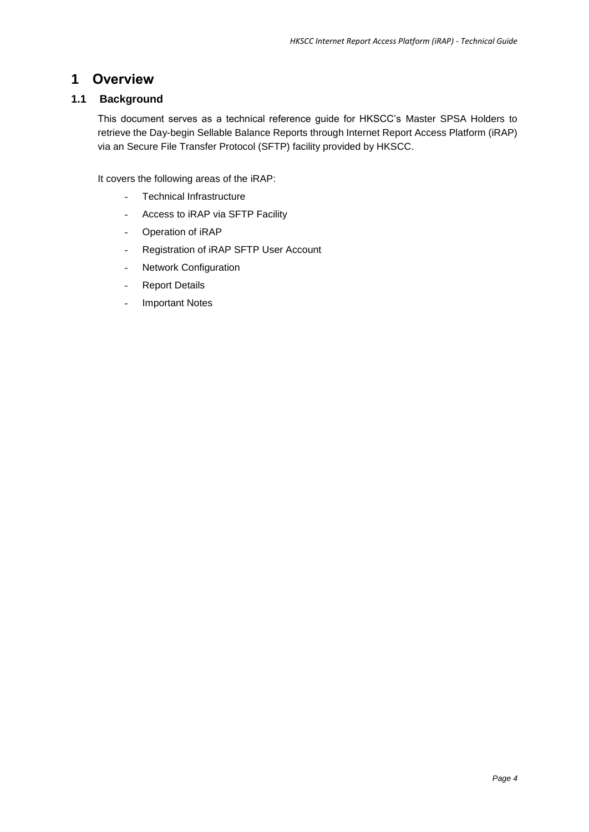### <span id="page-3-0"></span>**1 Overview**

### <span id="page-3-1"></span>**1.1 Background**

This document serves as a technical reference guide for HKSCC's Master SPSA Holders to retrieve the Day-begin Sellable Balance Reports through Internet Report Access Platform (iRAP) via an Secure File Transfer Protocol (SFTP) facility provided by HKSCC.

It covers the following areas of the iRAP:

- Technical Infrastructure
- Access to iRAP via SFTP Facility
- Operation of iRAP
- Registration of iRAP SFTP User Account
- Network Configuration
- Report Details
- Important Notes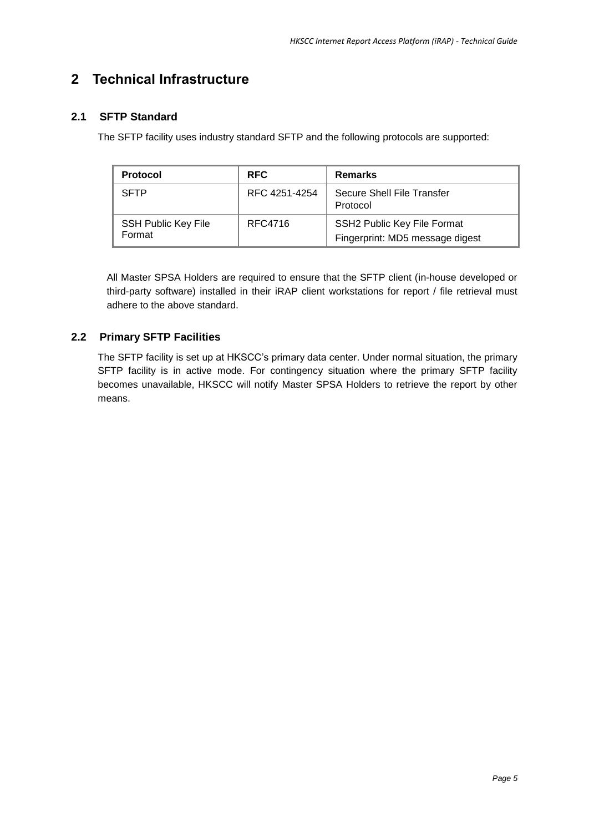## <span id="page-4-0"></span>**2 Technical Infrastructure**

### <span id="page-4-1"></span>**2.1 SFTP Standard**

The SFTP facility uses industry standard SFTP and the following protocols are supported:

| <b>Protocol</b>                      | <b>RFC</b>    | <b>Remarks</b>                                                 |
|--------------------------------------|---------------|----------------------------------------------------------------|
| <b>SFTP</b>                          | RFC 4251-4254 | Secure Shell File Transfer<br>Protocol                         |
| <b>SSH Public Key File</b><br>Format | RFC4716       | SSH2 Public Key File Format<br>Fingerprint: MD5 message digest |

All Master SPSA Holders are required to ensure that the SFTP client (in-house developed or third-party software) installed in their iRAP client workstations for report / file retrieval must adhere to the above standard.

### <span id="page-4-2"></span>**2.2 Primary SFTP Facilities**

The SFTP facility is set up at HKSCC's primary data center. Under normal situation, the primary SFTP facility is in active mode. For contingency situation where the primary SFTP facility becomes unavailable, HKSCC will notify Master SPSA Holders to retrieve the report by other means.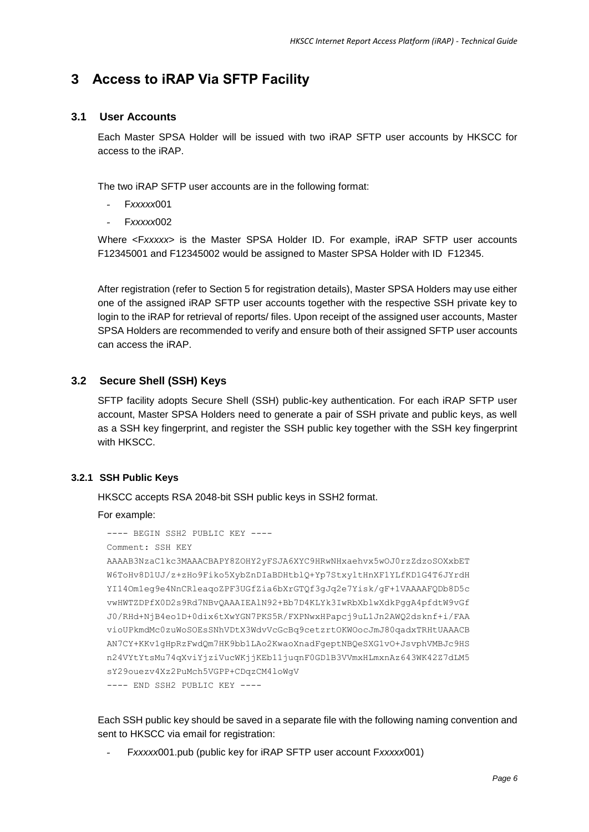## <span id="page-5-0"></span>**3 Access to iRAP Via SFTP Facility**

#### <span id="page-5-1"></span>**3.1 User Accounts**

Each Master SPSA Holder will be issued with two iRAP SFTP user accounts by HKSCC for access to the iRAP.

The two iRAP SFTP user accounts are in the following format:

- F*xxxxx*001
- F*xxxxx*002

Where <F*xxxxx*> is the Master SPSA Holder ID. For example, iRAP SFTP user accounts F12345001 and F12345002 would be assigned to Master SPSA Holder with ID F12345.

After registration (refer to Section 5 for registration details), Master SPSA Holders may use either one of the assigned iRAP SFTP user accounts together with the respective SSH private key to login to the iRAP for retrieval of reports/ files. Upon receipt of the assigned user accounts, Master SPSA Holders are recommended to verify and ensure both of their assigned SFTP user accounts can access the iRAP.

#### <span id="page-5-2"></span>**3.2 Secure Shell (SSH) Keys**

SFTP facility adopts Secure Shell (SSH) public-key authentication. For each iRAP SFTP user account, Master SPSA Holders need to generate a pair of SSH private and public keys, as well as a SSH key fingerprint, and register the SSH public key together with the SSH key fingerprint with HKSCC.

#### **3.2.1 SSH Public Keys**

HKSCC accepts RSA 2048-bit SSH public keys in SSH2 format.

For example:

```
---- BEGIN SSH2 PUBLIC KEY ----
Comment: SSH KEY 
AAAAB3NzaC1kc3MAAACBAPY8ZOHY2yFSJA6XYC9HRwNHxaehvx5wOJ0rzZdzoSOXxbET 
W6ToHv8D1UJ/z+zHo9Fiko5XybZnDIaBDHtblQ+Yp7StxyltHnXF1YLfKD1G4T6JYrdH 
YI14Om1eg9e4NnCRleaqoZPF3UGfZia6bXrGTQf3gJq2e7Yisk/gF+1VAAAAFQDb8D5c 
vwHWTZDPfX0D2s9Rd7NBvQAAAIEAlN92+Bb7D4KLYk3IwRbXblwXdkPggA4pfdtW9vGf 
J0/RHd+NjB4eo1D+0dix6tXwYGN7PKS5R/FXPNwxHPapcj9uL1Jn2AWQ2dsknf+i/FAA 
vioUPkmdMc0zuWoSOEsSNhVDtX3WdvVcGcBq9cetzrtOKWOocJmJ80qadxTRHtUAAACB 
AN7CY+KKv1gHpRzFwdQm7HK9bb1LAo2KwaoXnadFgeptNBQeSXG1vO+JsvphVMBJc9HS 
n24VYtYtsMu74qXviYjziVucWKjjKEb11juqnF0GDlB3VVmxHLmxnAz643WK42Z7dLM5 
sY29ouezv4Xz2PuMch5VGPP+CDqzCM4loWgV 
---- END SSH2 PUBLIC KEY ----
```
Each SSH public key should be saved in a separate file with the following naming convention and sent to HKSCC via email for registration:

- F*xxxxx*001.pub (public key for iRAP SFTP user account F*xxxxx*001)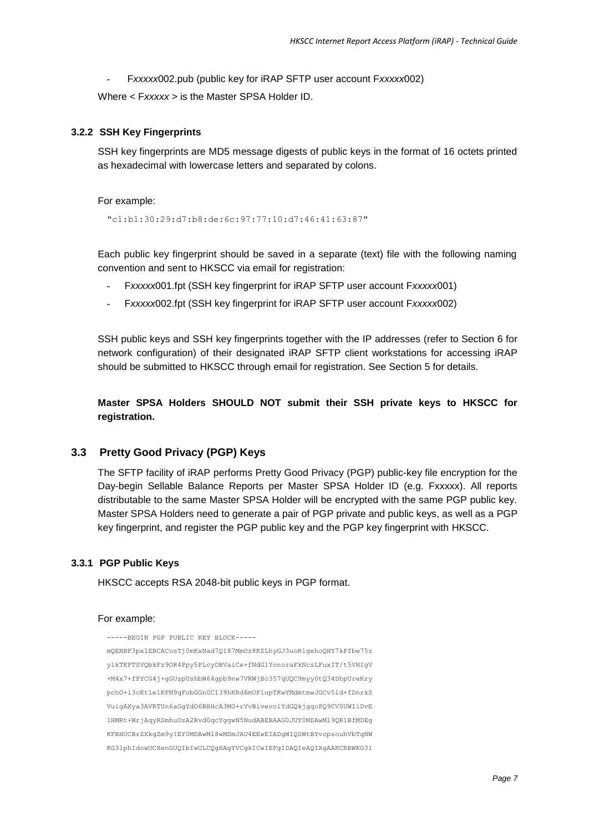- F*xxxxx*002.pub (public key for iRAP SFTP user account F*xxxxx*002)

Where < F*xxxxx* > is the Master SPSA Holder ID.

#### **3.2.2 SSH Key Fingerprints**

SSH key fingerprints are MD5 message digests of public keys in the format of 16 octets printed as hexadecimal with lowercase letters and separated by colons.

For example:

"c1:b1:30:29:d7:b8:de:6c:97:77:10:d7:46:41:63:87"

Each public key fingerprint should be saved in a separate (text) file with the following naming convention and sent to HKSCC via email for registration:

- F*xxxxx*001.fpt (SSH key fingerprint for iRAP SFTP user account F*xxxxx*001)
- F*xxxxx*002.fpt (SSH key fingerprint for iRAP SFTP user account F*xxxxx*002)

SSH public keys and SSH key fingerprints together with the IP addresses (refer to Section 6 for network configuration) of their designated iRAP SFTP client workstations for accessing iRAP should be submitted to HKSCC through email for registration. See Section 5 for details.

**Master SPSA Holders SHOULD NOT submit their SSH private keys to HKSCC for registration.**

#### <span id="page-6-0"></span>**3.3 Pretty Good Privacy (PGP) Keys**

The SFTP facility of iRAP performs Pretty Good Privacy (PGP) public-key file encryption for the Day-begin Sellable Balance Reports per Master SPSA Holder ID (e.g. Fxxxxx). All reports distributable to the same Master SPSA Holder will be encrypted with the same PGP public key. Master SPSA Holders need to generate a pair of PGP private and public keys, as well as a PGP key fingerprint, and register the PGP public key and the PGP key fingerprint with HKSCC.

#### **3.3.1 PGP Public Keys**

HKSCC accepts RSA 2048-bit public keys in PGP format.

#### For example:

-----BEGIN PGP PUBLIC KEY BLOCK---- mQENBF3pxlEBCACosTj0mKxNad7QI87MmOz8KZLhyGJ3uoR1gehoQHY7kFfbw75z ylkTKPTSVQbkFz9OR4Ppy5PLcyOBVaiCe+fNdG1YonoraFkNcsLFuxIT/t5VHIgV +M4x7+fPYCG4j+gGUzpUshbW64gpb9nw7VRWjBo357qUQC9myy0tQ34DhpUreKry pchO+l3oKtle1KFM9qFobGGn0C139hKRd6mUFlupTKwYMdmtmwJGCv5ld+fDnrkS VuigAXya3AVRTUn6aGgYdO6BBHcA3MO+rVvBivevo1YdGQkjgqoPQ9CV0UWIiDvE 1HMRt+WrjAqyRSmhuOzA2Rvd0qcYggwN5NudABEBAAG0JUY0MDAwMl9QR1BfMDEg KFBHUCBrZXkgZm9yIEY0MDAwMl8wMSmJAU4EEwEIADgWIQSWtBYvcpsouhVbTqNW KG31phIdowUCXenGUQIbIwULCQgHAgYVCgkICwIEFgIDAQIeAQIXgAAKCRBWKG31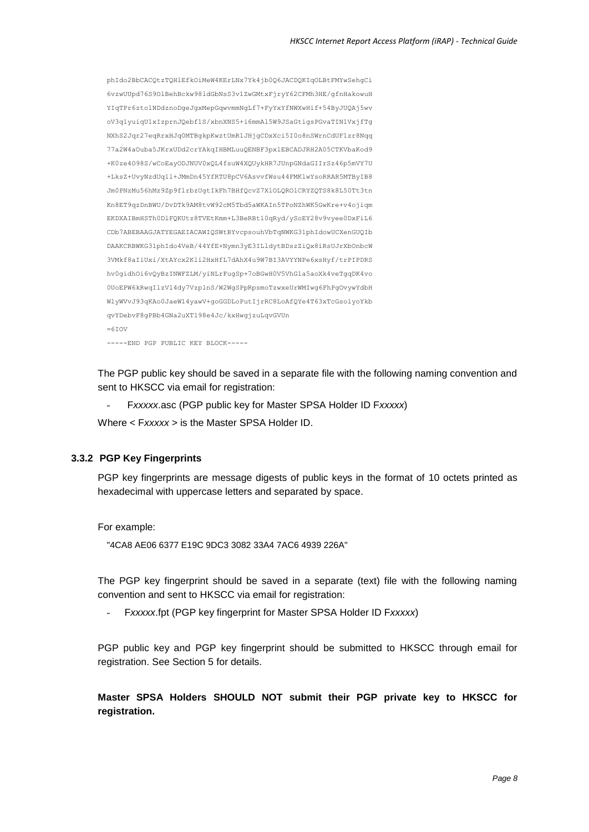phIdo2BbCACQtzTQHlEfkOiMeW4KErLNx7Yk4jb0Q6JACDQKIqOLBtFMYwSehgCi 6vzwUUpd76S9OlBehBckw98ldGbNsS3v1ZwGMtxFjryY62CFMh3HE/gfnHakowuH YIqTPr6ztolNDdznoDgeJgxMepGqwvmmNgLf7+FyYxYfNWXwHif+54ByJUQAj5wv oV3q1yuiqU1xIzprnJQebf1S/xbnXNS5+i6mmAl5W9JSaGtigsPGvaTIN1VxjfTg NXhS2Jqr27eqRrxHJq0MTBgkpKwztUmR1JHjgCDxXci5I0o8nSWrnCdUF1zr8Nqq 77a2W4aOuba5JKrxUDd2crYAkqIHBMLuuQENBF3pxlEBCADJRH2A05CTKVbaKod9 +K0ze4O98S/wCoEayODJNUV0xQL4fsuW4XQUykHR7JUnpGNdaGIIrSz46p5mVY7U +LksZ+UvyNzdUq1l+JMmDn45YfRTU8pCV6AsvvfWsu44FMKlwYsoRRAR5MTByIB8 Jm0PNzMu56hMz9Zp9flrbzUgtIkFh7BHfQcvZ7XlOLQROlCRYZQTS8k8L50Tt3tn Kn8ET9qzDnBWU/DvDTk9AM8tvW92cM5Tbd5aWKAIn5TPoNZhWK5GwKre+v4ojiqm EKDXAIBmHSTh0DlFQKUtz8TVEtKmm+L3BeRBt10qRyd/ySoEY28v9vyee0DxFiL6 CDb7ABEBAAGJATYEGAEIACAWIQSWtBYvcpsouhVbTqNWKG31phIdowUCXenGUQIb DAAKCRBWKG31phIdo4VeB/44YfE+Nymn3yE3ILldytBDszZiQx8iRsUJrXbOnbcW 3VMkf8aIiUxi/XtAYcx2Kli2HxHfL7dAhX4u9W7BI3AVYYNPe6xsHyf/trPIPDRS hv0gidhOi6vQyBzINWFZLM/yiNLrFugSp+7oBGwH0V5VhG1a5aoXk4veTgqDK4vo 0UoEPW6kRwqIlzVl4dy7VzplnS/W2WgSPpRpsmoTzwxeUrWMIwg6FhPgOvywYdbH WlyWVvJ93qKAo0JaeW14yawV+goGGDLoPutIjrRC8LoAfQYe4T63xTcGsolyoYkb qvYDebvF8gPBb4GNa2uXT198e4Jc/kxHwgjzuLqvGVUn  $=6T$  OV -----END PGP PUBLIC KEY BLOCK-----

The PGP public key should be saved in a separate file with the following naming convention and sent to HKSCC via email for registration:

- F*xxxxx*.asc (PGP public key for Master SPSA Holder ID F*xxxxx*) Where < F*xxxxx* > is the Master SPSA Holder ID.

#### **3.3.2 PGP Key Fingerprints**

PGP key fingerprints are message digests of public keys in the format of 10 octets printed as hexadecimal with uppercase letters and separated by space.

For example:

"4CA8 AE06 6377 E19C 9DC3 3082 33A4 7AC6 4939 226A"

The PGP key fingerprint should be saved in a separate (text) file with the following naming convention and sent to HKSCC via email for registration:

- F*xxxxx*.fpt (PGP key fingerprint for Master SPSA Holder ID F*xxxxx*)

PGP public key and PGP key fingerprint should be submitted to HKSCC through email for registration. See Section 5 for details.

**Master SPSA Holders SHOULD NOT submit their PGP private key to HKSCC for registration.**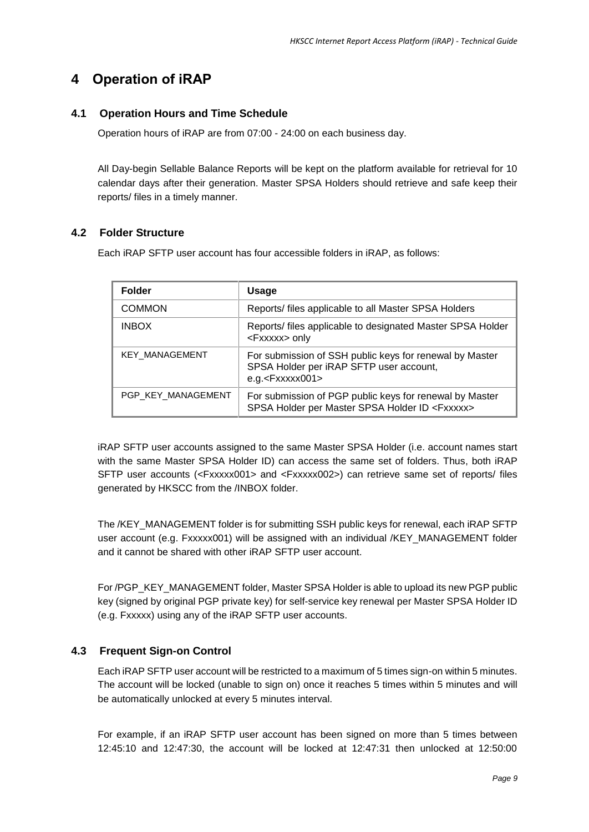## <span id="page-8-0"></span>**4 Operation of iRAP**

### <span id="page-8-1"></span>**4.1 Operation Hours and Time Schedule**

Operation hours of iRAP are from 07:00 - 24:00 on each business day.

All Day-begin Sellable Balance Reports will be kept on the platform available for retrieval for 10 calendar days after their generation. Master SPSA Holders should retrieve and safe keep their reports/ files in a timely manner.

### <span id="page-8-2"></span>**4.2 Folder Structure**

Each iRAP SFTP user account has four accessible folders in iRAP, as follows:

| <b>Folder</b>         | <b>Usage</b>                                                                                                              |  |
|-----------------------|---------------------------------------------------------------------------------------------------------------------------|--|
| <b>COMMON</b>         | Reports/ files applicable to all Master SPSA Holders                                                                      |  |
| <b>INBOX</b>          | Reports/ files applicable to designated Master SPSA Holder<br><fxxxxx> only</fxxxxx>                                      |  |
| <b>KEY MANAGEMENT</b> | For submission of SSH public keys for renewal by Master<br>SPSA Holder per iRAP SFTP user account,<br>$e.g. <$ Fxxxxx001> |  |
| PGP KEY MANAGEMENT    | For submission of PGP public keys for renewal by Master<br>SPSA Holder per Master SPSA Holder ID <fxxxxx></fxxxxx>        |  |

iRAP SFTP user accounts assigned to the same Master SPSA Holder (i.e. account names start with the same Master SPSA Holder ID) can access the same set of folders. Thus, both iRAP SFTP user accounts (<Fxxxxx001> and <Fxxxxx002>) can retrieve same set of reports/ files generated by HKSCC from the /INBOX folder.

The /KEY\_MANAGEMENT folder is for submitting SSH public keys for renewal, each iRAP SFTP user account (e.g. Fxxxxx001) will be assigned with an individual /KEY\_MANAGEMENT folder and it cannot be shared with other iRAP SFTP user account.

For /PGP\_KEY\_MANAGEMENT folder, Master SPSA Holder is able to upload its new PGP public key (signed by original PGP private key) for self-service key renewal per Master SPSA Holder ID (e.g. Fxxxxx) using any of the iRAP SFTP user accounts.

### <span id="page-8-3"></span>**4.3 Frequent Sign-on Control**

Each iRAP SFTP user account will be restricted to a maximum of 5 times sign-on within 5 minutes. The account will be locked (unable to sign on) once it reaches 5 times within 5 minutes and will be automatically unlocked at every 5 minutes interval.

For example, if an iRAP SFTP user account has been signed on more than 5 times between 12:45:10 and 12:47:30, the account will be locked at 12:47:31 then unlocked at 12:50:00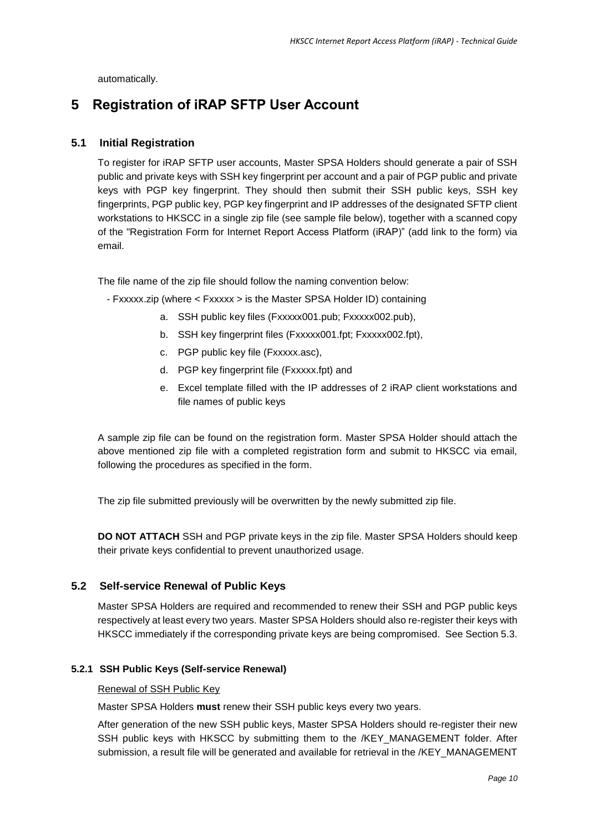automatically.

### <span id="page-9-0"></span>**5 Registration of iRAP SFTP User Account**

#### <span id="page-9-1"></span>**5.1 Initial Registration**

To register for iRAP SFTP user accounts, Master SPSA Holders should generate a pair of SSH public and private keys with SSH key fingerprint per account and a pair of PGP public and private keys with PGP key fingerprint. They should then submit their SSH public keys, SSH key fingerprints, PGP public key, PGP key fingerprint and IP addresses of the designated SFTP client workstations to HKSCC in a single zip file (see sample file below), together with a scanned copy of the "Registration Form for Internet Report Access Platform (iRAP)" (add link to the form) via email.

The file name of the zip file should follow the naming convention below:

- Fxxxxx.zip (where < Fxxxxx > is the Master SPSA Holder ID) containing
	- a. SSH public key files (Fxxxxx001.pub; Fxxxxx002.pub),
	- b. SSH key fingerprint files (Fxxxxx001.fpt; Fxxxxx002.fpt),
	- c. PGP public key file (Fxxxxx.asc),
	- d. PGP key fingerprint file (Fxxxxx.fpt) and
	- e. Excel template filled with the IP addresses of 2 iRAP client workstations and file names of public keys

A sample zip file can be found on the registration form. Master SPSA Holder should attach the above mentioned zip file with a completed registration form and submit to HKSCC via email, following the procedures as specified in the form.

The zip file submitted previously will be overwritten by the newly submitted zip file.

**DO NOT ATTACH** SSH and PGP private keys in the zip file. Master SPSA Holders should keep their private keys confidential to prevent unauthorized usage.

#### <span id="page-9-2"></span>**5.2 Self-service Renewal of Public Keys**

Master SPSA Holders are required and recommended to renew their SSH and PGP public keys respectively at least every two years. Master SPSA Holders should also re-register their keys with HKSCC immediately if the corresponding private keys are being compromised. See Section 5.3.

#### **5.2.1 SSH Public Keys (Self-service Renewal)**

#### Renewal of SSH Public Key

Master SPSA Holders **must** renew their SSH public keys every two years.

After generation of the new SSH public keys, Master SPSA Holders should re-register their new SSH public keys with HKSCC by submitting them to the /KEY\_MANAGEMENT folder. After submission, a result file will be generated and available for retrieval in the /KEY\_MANAGEMENT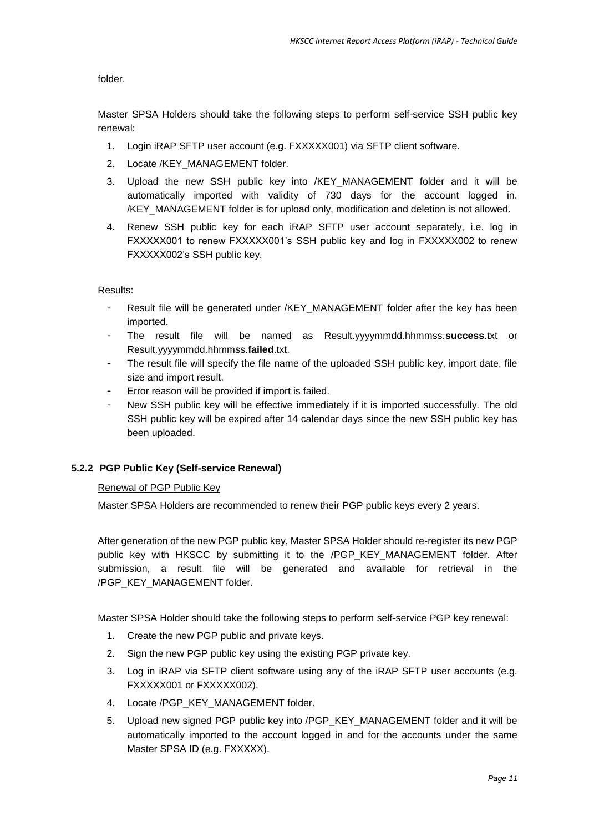folder.

Master SPSA Holders should take the following steps to perform self-service SSH public key renewal:

- 1. Login iRAP SFTP user account (e.g. FXXXXX001) via SFTP client software.
- 2. Locate /KEY\_MANAGEMENT folder.
- 3. Upload the new SSH public key into /KEY\_MANAGEMENT folder and it will be automatically imported with validity of 730 days for the account logged in. /KEY\_MANAGEMENT folder is for upload only, modification and deletion is not allowed.
- 4. Renew SSH public key for each iRAP SFTP user account separately, i.e. log in FXXXXX001 to renew FXXXXX001's SSH public key and log in FXXXXX002 to renew FXXXXX002's SSH public key.

Results:

- Result file will be generated under /KEY\_MANAGEMENT folder after the key has been imported.
- The result file will be named as Result.yyyymmdd.hhmmss.**success**.txt or Result.yyyymmdd.hhmmss.**failed**.txt.
- The result file will specify the file name of the uploaded SSH public key, import date, file size and import result.
- Error reason will be provided if import is failed.
- New SSH public key will be effective immediately if it is imported successfully. The old SSH public key will be expired after 14 calendar days since the new SSH public key has been uploaded.

#### **5.2.2 PGP Public Key (Self-service Renewal)**

#### Renewal of PGP Public Key

Master SPSA Holders are recommended to renew their PGP public keys every 2 years.

After generation of the new PGP public key, Master SPSA Holder should re-register its new PGP public key with HKSCC by submitting it to the /PGP\_KEY\_MANAGEMENT folder. After submission, a result file will be generated and available for retrieval in the /PGP\_KEY\_MANAGEMENT folder.

Master SPSA Holder should take the following steps to perform self-service PGP key renewal:

- 1. Create the new PGP public and private keys.
- 2. Sign the new PGP public key using the existing PGP private key.
- 3. Log in iRAP via SFTP client software using any of the iRAP SFTP user accounts (e.g. FXXXXX001 or FXXXXX002).
- 4. Locate /PGP\_KEY\_MANAGEMENT folder.
- 5. Upload new signed PGP public key into /PGP\_KEY\_MANAGEMENT folder and it will be automatically imported to the account logged in and for the accounts under the same Master SPSA ID (e.g. FXXXXX).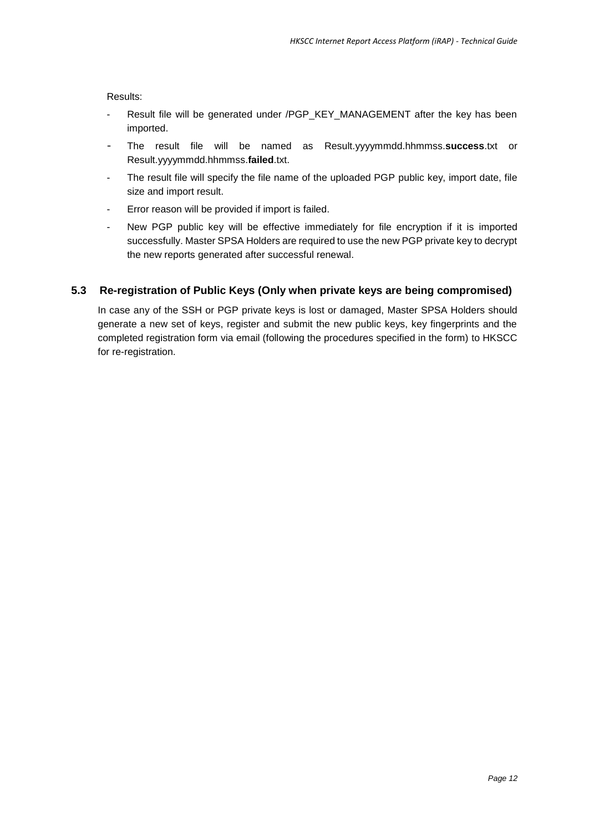Results:

- Result file will be generated under /PGP\_KEY\_MANAGEMENT after the key has been imported.
- The result file will be named as Result.yyyymmdd.hhmmss.**success**.txt or Result.yyyymmdd.hhmmss.**failed**.txt.
- The result file will specify the file name of the uploaded PGP public key, import date, file size and import result.
- Error reason will be provided if import is failed.
- New PGP public key will be effective immediately for file encryption if it is imported successfully. Master SPSA Holders are required to use the new PGP private key to decrypt the new reports generated after successful renewal.

#### <span id="page-11-0"></span>**5.3 Re-registration of Public Keys (Only when private keys are being compromised)**

In case any of the SSH or PGP private keys is lost or damaged, Master SPSA Holders should generate a new set of keys, register and submit the new public keys, key fingerprints and the completed registration form via email (following the procedures specified in the form) to HKSCC for re-registration.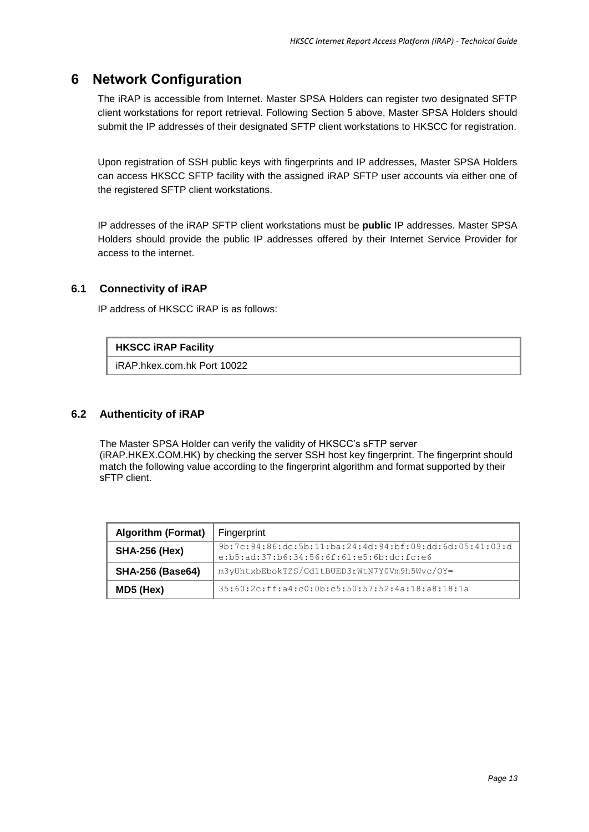## <span id="page-12-0"></span>**6 Network Configuration**

The iRAP is accessible from Internet. Master SPSA Holders can register two designated SFTP client workstations for report retrieval. Following Section 5 above, Master SPSA Holders should submit the IP addresses of their designated SFTP client workstations to HKSCC for registration.

Upon registration of SSH public keys with fingerprints and IP addresses, Master SPSA Holders can access HKSCC SFTP facility with the assigned iRAP SFTP user accounts via either one of the registered SFTP client workstations.

IP addresses of the iRAP SFTP client workstations must be **public** IP addresses. Master SPSA Holders should provide the public IP addresses offered by their Internet Service Provider for access to the internet.

#### <span id="page-12-1"></span>**6.1 Connectivity of iRAP**

IP address of HKSCC iRAP is as follows:

#### **HKSCC iRAP Facility**

iRAP.hkex.com.hk Port 10022

#### <span id="page-12-2"></span>**6.2 Authenticity of iRAP**

The Master SPSA Holder can verify the validity of HKSCC's sFTP server (iRAP.HKEX.COM.HK) by checking the server SSH host key fingerprint. The fingerprint should match the following value according to the fingerprint algorithm and format supported by their sFTP client.

| <b>Algorithm (Format)</b> | Fingerprint                                                                                           |  |
|---------------------------|-------------------------------------------------------------------------------------------------------|--|
| <b>SHA-256 (Hex)</b>      | 9b:7c:94:86:dc:5b:11:ba:24:4d:94:bf:09:dd:6d:05:41:03:d<br>$e:b5:ad:37:b6:34:56:6f:61:e5:6b:dc:fc:e6$ |  |
| <b>SHA-256 (Base64)</b>   | m3yUhtxbEbokTZS/Cd1tBUED3rWtN7Y0Vm9h5Wvc/OY=                                                          |  |
| MD5 (Hex)                 | 35:60:2c:ff:a4:c0:0b:c5:50:57:52:4a:18:a8:18:1a                                                       |  |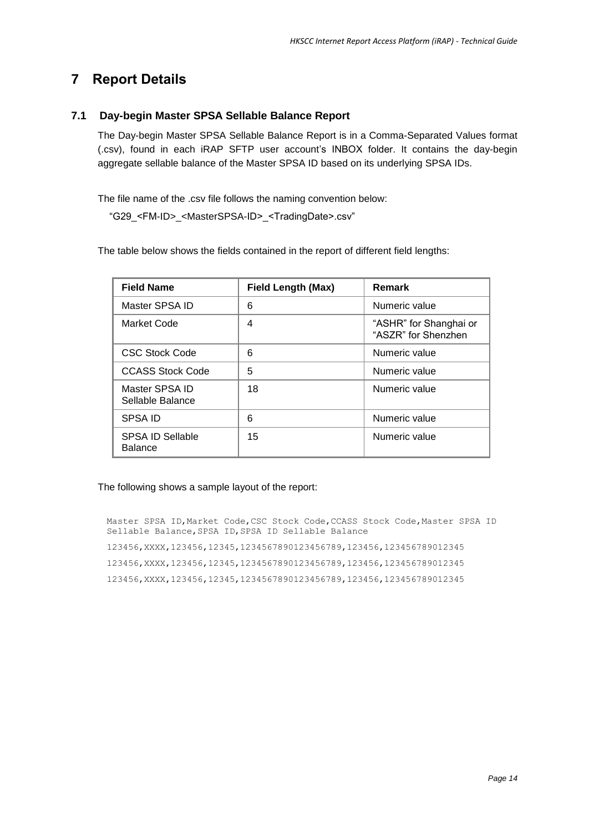## <span id="page-13-0"></span>**7 Report Details**

### <span id="page-13-1"></span>**7.1 Day-begin Master SPSA Sellable Balance Report**

The Day-begin Master SPSA Sellable Balance Report is in a Comma-Separated Values format (.csv), found in each iRAP SFTP user account's INBOX folder. It contains the day-begin aggregate sellable balance of the Master SPSA ID based on its underlying SPSA IDs.

The file name of the .csv file follows the naming convention below:

"G29\_<FM-ID>\_<MasterSPSA-ID>\_<TradingDate>.csv"

The table below shows the fields contained in the report of different field lengths:

| <b>Field Name</b>                         | <b>Field Length (Max)</b> | <b>Remark</b>                                 |
|-------------------------------------------|---------------------------|-----------------------------------------------|
| Master SPSA ID                            | 6                         | Numeric value                                 |
| Market Code                               | 4                         | "ASHR" for Shanghai or<br>"ASZR" for Shenzhen |
| <b>CSC Stock Code</b>                     | 6                         | Numeric value                                 |
| <b>CCASS Stock Code</b>                   | 5                         | Numeric value                                 |
| Master SPSA ID<br>Sellable Balance        | 18                        | Numeric value                                 |
| <b>SPSA ID</b>                            | 6                         | Numeric value                                 |
| <b>SPSA ID Sellable</b><br><b>Balance</b> | 15                        | Numeric value                                 |

The following shows a sample layout of the report:

Master SPSA ID,Market Code,CSC Stock Code,CCASS Stock Code,Master SPSA ID Sellable Balance,SPSA ID,SPSA ID Sellable Balance 123456,XXXX,123456,12345,1234567890123456789,123456,123456789012345 123456,XXXX,123456,12345,1234567890123456789,123456,123456789012345 123456,XXXX,123456,12345,1234567890123456789,123456,123456789012345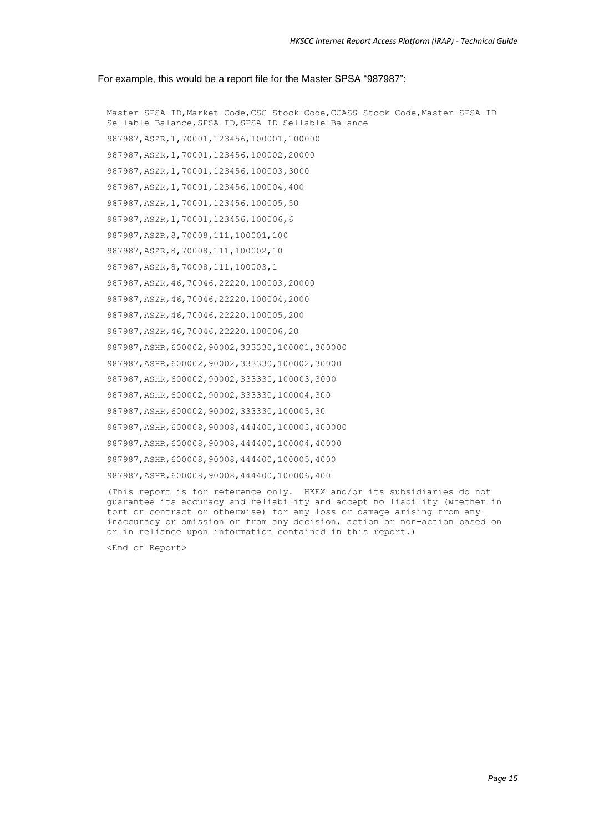#### For example, this would be a report file for the Master SPSA "987987":

Master SPSA ID,Market Code,CSC Stock Code,CCASS Stock Code,Master SPSA ID Sellable Balance,SPSA ID,SPSA ID Sellable Balance 987987,ASZR,1,70001,123456,100001,100000 987987,ASZR,1,70001,123456,100002,20000 987987,ASZR,1,70001,123456,100003,3000 987987,ASZR,1,70001,123456,100004,400 987987,ASZR,1,70001,123456,100005,50 987987,ASZR,1,70001,123456,100006,6 987987,ASZR,8,70008,111,100001,100 987987,ASZR,8,70008,111,100002,10 987987,ASZR,8,70008,111,100003,1 987987,ASZR,46,70046,22220,100003,20000 987987,ASZR,46,70046,22220,100004,2000 987987,ASZR,46,70046,22220,100005,200 987987,ASZR,46,70046,22220,100006,20 987987,ASHR,600002,90002,333330,100001,300000 987987,ASHR,600002,90002,333330,100002,30000 987987,ASHR,600002,90002,333330,100003,3000 987987,ASHR,600002,90002,333330,100004,300 987987,ASHR,600002,90002,333330,100005,30 987987,ASHR,600008,90008,444400,100003,400000 987987,ASHR,600008,90008,444400,100004,40000 987987,ASHR,600008,90008,444400,100005,4000 987987,ASHR,600008,90008,444400,100006,400

(This report is for reference only. HKEX and/or its subsidiaries do not guarantee its accuracy and reliability and accept no liability (whether in tort or contract or otherwise) for any loss or damage arising from any inaccuracy or omission or from any decision, action or non-action based on or in reliance upon information contained in this report.)

<End of Report>